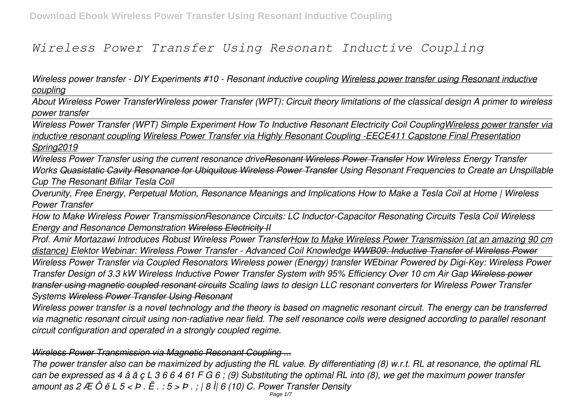# *Wireless Power Transfer Using Resonant Inductive Coupling*

*Wireless power transfer - DIY Experiments #10 - Resonant inductive coupling Wireless power transfer using Resonant inductive coupling*

*About Wireless Power TransferWireless power Transfer (WPT): Circuit theory limitations of the classical design A primer to wireless power transfer*

*Wireless Power Transfer (WPT) Simple Experiment How To Inductive Resonant Electricity Coil CouplingWireless power transfer via inductive resonant coupling Wireless Power Transfer via Highly Resonant Coupling -EECE411 Capstone Final Presentation Spring2019*

*Wireless Power Transfer using the current resonance driveResonant Wireless Power Transfer How Wireless Energy Transfer Works Quasistatic Cavity Resonance for Ubiquitous Wireless Power Transfer Using Resonant Frequencies to Create an Unspillable Cup The Resonant Bifilar Tesla Coil*

*Overunity, Free Energy, Perpetual Motion, Resonance Meanings and Implications How to Make a Tesla Coil at Home | Wireless Power Transfer* 

*How to Make Wireless Power TransmissionResonance Circuits: LC Inductor-Capacitor Resonating Circuits Tesla Coil Wireless Energy and Resonance Demonstration Wireless Electricity II*

*Prof. Amir Mortazawi Introduces Robust Wireless Power TransferHow to Make Wireless Power Transmission (at an amazing 90 cm distance) Elektor Webinar: Wireless Power Transfer - Advanced Coil Knowledge WWB09: Inductive Transfer of Wireless Power*

*Wireless Power Transfer via Coupled Resonators Wireless power (Energy) transfer WEbinar Powered by Digi-Key: Wireless Power Transfer Design of 3.3 kW Wireless Inductive Power Transfer System with 95% Efficiency Over 10 cm Air Gap Wireless power transfer using magnetic coupled resonant circuits Scaling laws to design LLC resonant converters for Wireless Power Transfer Systems Wireless Power Transfer Using Resonant*

*Wireless power transfer is a novel technology and the theory is based on magnetic resonant circuit. The energy can be transferred via magnetic resonant circuit using non-radiative near field. The self resonance coils were designed according to parallel resonant circuit configuration and operated in a strongly coupled regime.*

## *Wireless Power Transmission via Magnetic Resonant Coupling ...*

*The power transfer also can be maximized by adjusting the RL value. By differentiating (8) w.r.t. RL at resonance, the optimal RL can be expressed as 4 â ã ç L 3 6 6 4 61 F G 6 ; (9) Substituting the optimal RL into (8), we get the maximum power transfer amount as 2 Æ Ô ë L 5 < Þ . Ë . : 5 > Þ . ; | 8 Ì| 6 (10) C. Power Transfer Density* Page  $1/7$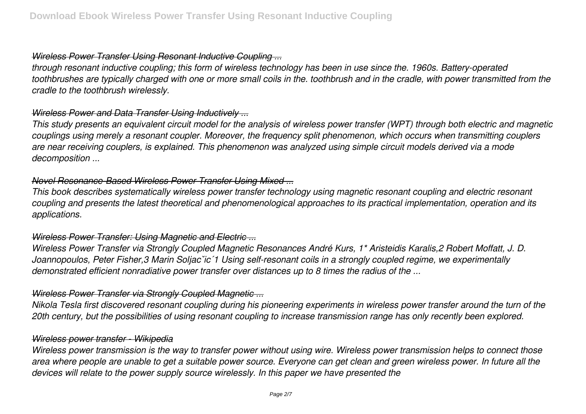## *Wireless Power Transfer Using Resonant Inductive Coupling ...*

*through resonant inductive coupling; this form of wireless technology has been in use since the. 1960s. Battery-operated toothbrushes are typically charged with one or more small coils in the. toothbrush and in the cradle, with power transmitted from the cradle to the toothbrush wirelessly.*

## *Wireless Power and Data Transfer Using Inductively ...*

*This study presents an equivalent circuit model for the analysis of wireless power transfer (WPT) through both electric and magnetic couplings using merely a resonant coupler. Moreover, the frequency split phenomenon, which occurs when transmitting couplers are near receiving couplers, is explained. This phenomenon was analyzed using simple circuit models derived via a mode decomposition ...*

## *Novel Resonance-Based Wireless Power Transfer Using Mixed ...*

*This book describes systematically wireless power transfer technology using magnetic resonant coupling and electric resonant coupling and presents the latest theoretical and phenomenological approaches to its practical implementation, operation and its applications.*

## *Wireless Power Transfer: Using Magnetic and Electric ...*

*Wireless Power Transfer via Strongly Coupled Magnetic Resonances André Kurs, 1\* Aristeidis Karalis,2 Robert Moffatt, J. D. Joannopoulos, Peter Fisher,3 Marin Soljacˇic´1 Using self-resonant coils in a strongly coupled regime, we experimentally demonstrated efficient nonradiative power transfer over distances up to 8 times the radius of the ...*

# *Wireless Power Transfer via Strongly Coupled Magnetic ...*

*Nikola Tesla first discovered resonant coupling during his pioneering experiments in wireless power transfer around the turn of the 20th century, but the possibilities of using resonant coupling to increase transmission range has only recently been explored.*

## *Wireless power transfer - Wikipedia*

*Wireless power transmission is the way to transfer power without using wire. Wireless power transmission helps to connect those area where people are unable to get a suitable power source. Everyone can get clean and green wireless power. In future all the devices will relate to the power supply source wirelessly. In this paper we have presented the*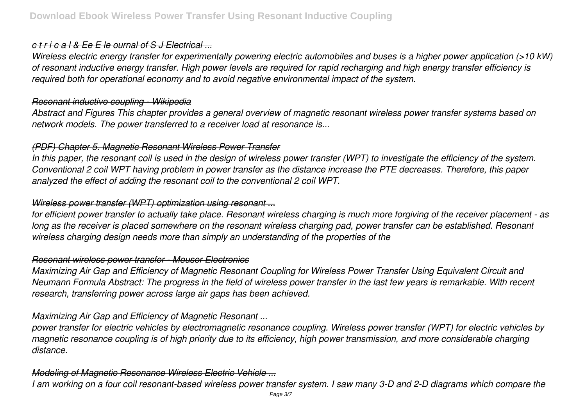## *c t r i c a l & Ee E le ournal of S J Electrical ...*

*Wireless electric energy transfer for experimentally powering electric automobiles and buses is a higher power application (>10 kW) of resonant inductive energy transfer. High power levels are required for rapid recharging and high energy transfer efficiency is required both for operational economy and to avoid negative environmental impact of the system.*

## *Resonant inductive coupling - Wikipedia*

*Abstract and Figures This chapter provides a general overview of magnetic resonant wireless power transfer systems based on network models. The power transferred to a receiver load at resonance is...*

# *(PDF) Chapter 5. Magnetic Resonant Wireless Power Transfer*

*In this paper, the resonant coil is used in the design of wireless power transfer (WPT) to investigate the efficiency of the system. Conventional 2 coil WPT having problem in power transfer as the distance increase the PTE decreases. Therefore, this paper analyzed the effect of adding the resonant coil to the conventional 2 coil WPT.*

# *Wireless power transfer (WPT) optimization using resonant ...*

*for efficient power transfer to actually take place. Resonant wireless charging is much more forgiving of the receiver placement - as long as the receiver is placed somewhere on the resonant wireless charging pad, power transfer can be established. Resonant wireless charging design needs more than simply an understanding of the properties of the*

## *Resonant wireless power transfer - Mouser Electronics*

*Maximizing Air Gap and Efficiency of Magnetic Resonant Coupling for Wireless Power Transfer Using Equivalent Circuit and Neumann Formula Abstract: The progress in the field of wireless power transfer in the last few years is remarkable. With recent research, transferring power across large air gaps has been achieved.*

# *Maximizing Air Gap and Efficiency of Magnetic Resonant ...*

*power transfer for electric vehicles by electromagnetic resonance coupling. Wireless power transfer (WPT) for electric vehicles by magnetic resonance coupling is of high priority due to its efficiency, high power transmission, and more considerable charging distance.*

# *Modeling of Magnetic Resonance Wireless Electric Vehicle ...*

*I am working on a four coil resonant-based wireless power transfer system. I saw many 3-D and 2-D diagrams which compare the*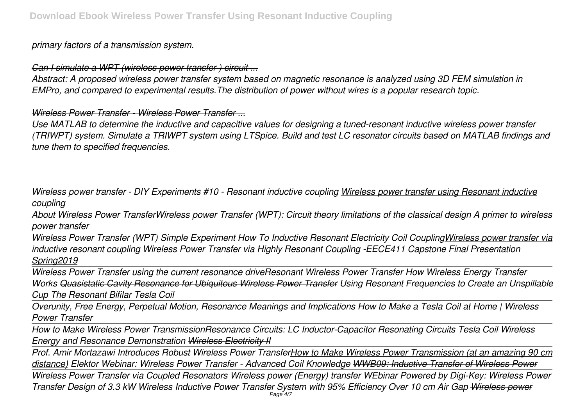# *primary factors of a transmission system.*

*Can I simulate a WPT (wireless power transfer ) circuit ...*

*Abstract: A proposed wireless power transfer system based on magnetic resonance is analyzed using 3D FEM simulation in EMPro, and compared to experimental results.The distribution of power without wires is a popular research topic.*

# *Wireless Power Transfer - Wireless Power Transfer ...*

*Use MATLAB to determine the inductive and capacitive values for designing a tuned-resonant inductive wireless power transfer (TRIWPT) system. Simulate a TRIWPT system using LTSpice. Build and test LC resonator circuits based on MATLAB findings and tune them to specified frequencies.*

*Wireless power transfer - DIY Experiments #10 - Resonant inductive coupling Wireless power transfer using Resonant inductive coupling*

*About Wireless Power TransferWireless power Transfer (WPT): Circuit theory limitations of the classical design A primer to wireless power transfer*

*Wireless Power Transfer (WPT) Simple Experiment How To Inductive Resonant Electricity Coil CouplingWireless power transfer via inductive resonant coupling Wireless Power Transfer via Highly Resonant Coupling -EECE411 Capstone Final Presentation Spring2019*

*Wireless Power Transfer using the current resonance driveResonant Wireless Power Transfer How Wireless Energy Transfer Works Quasistatic Cavity Resonance for Ubiquitous Wireless Power Transfer Using Resonant Frequencies to Create an Unspillable Cup The Resonant Bifilar Tesla Coil*

*Overunity, Free Energy, Perpetual Motion, Resonance Meanings and Implications How to Make a Tesla Coil at Home | Wireless Power Transfer* 

*How to Make Wireless Power TransmissionResonance Circuits: LC Inductor-Capacitor Resonating Circuits Tesla Coil Wireless Energy and Resonance Demonstration Wireless Electricity II*

*Prof. Amir Mortazawi Introduces Robust Wireless Power TransferHow to Make Wireless Power Transmission (at an amazing 90 cm distance) Elektor Webinar: Wireless Power Transfer - Advanced Coil Knowledge WWB09: Inductive Transfer of Wireless Power*

*Wireless Power Transfer via Coupled Resonators Wireless power (Energy) transfer WEbinar Powered by Digi-Key: Wireless Power Transfer Design of 3.3 kW Wireless Inductive Power Transfer System with 95% Efficiency Over 10 cm Air Gap Wireless power* Page 4/7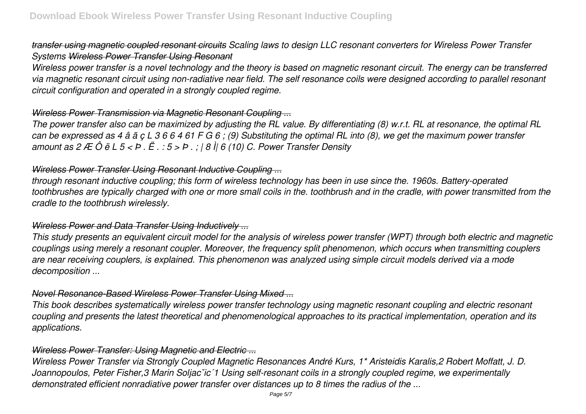# *transfer using magnetic coupled resonant circuits Scaling laws to design LLC resonant converters for Wireless Power Transfer Systems Wireless Power Transfer Using Resonant*

*Wireless power transfer is a novel technology and the theory is based on magnetic resonant circuit. The energy can be transferred via magnetic resonant circuit using non-radiative near field. The self resonance coils were designed according to parallel resonant circuit configuration and operated in a strongly coupled regime.*

# *Wireless Power Transmission via Magnetic Resonant Coupling ...*

*The power transfer also can be maximized by adjusting the RL value. By differentiating (8) w.r.t. RL at resonance, the optimal RL can be expressed as 4 â ã ç L 3 6 6 4 61 F G 6 ; (9) Substituting the optimal RL into (8), we get the maximum power transfer amount as 2 Æ Ô ë L 5 < Þ . Ë . : 5 > Þ . ; | 8 Ì| 6 (10) C. Power Transfer Density*

# *Wireless Power Transfer Using Resonant Inductive Coupling ...*

*through resonant inductive coupling; this form of wireless technology has been in use since the. 1960s. Battery-operated toothbrushes are typically charged with one or more small coils in the. toothbrush and in the cradle, with power transmitted from the cradle to the toothbrush wirelessly.*

# *Wireless Power and Data Transfer Using Inductively ...*

*This study presents an equivalent circuit model for the analysis of wireless power transfer (WPT) through both electric and magnetic couplings using merely a resonant coupler. Moreover, the frequency split phenomenon, which occurs when transmitting couplers are near receiving couplers, is explained. This phenomenon was analyzed using simple circuit models derived via a mode decomposition ...*

# *Novel Resonance-Based Wireless Power Transfer Using Mixed ...*

*This book describes systematically wireless power transfer technology using magnetic resonant coupling and electric resonant coupling and presents the latest theoretical and phenomenological approaches to its practical implementation, operation and its applications.*

# *Wireless Power Transfer: Using Magnetic and Electric ...*

*Wireless Power Transfer via Strongly Coupled Magnetic Resonances André Kurs, 1\* Aristeidis Karalis,2 Robert Moffatt, J. D. Joannopoulos, Peter Fisher,3 Marin Soljacˇic´1 Using self-resonant coils in a strongly coupled regime, we experimentally demonstrated efficient nonradiative power transfer over distances up to 8 times the radius of the ...*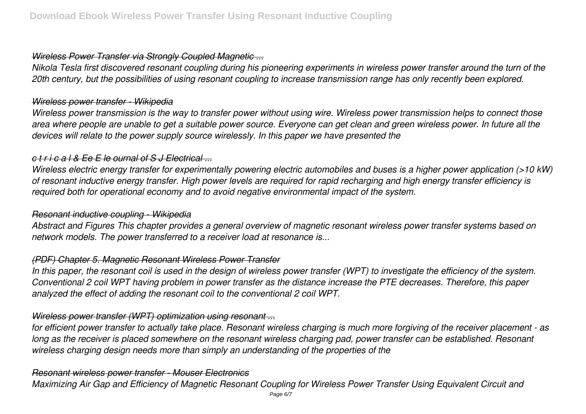## *Wireless Power Transfer via Strongly Coupled Magnetic ...*

*Nikola Tesla first discovered resonant coupling during his pioneering experiments in wireless power transfer around the turn of the 20th century, but the possibilities of using resonant coupling to increase transmission range has only recently been explored.*

## *Wireless power transfer - Wikipedia*

*Wireless power transmission is the way to transfer power without using wire. Wireless power transmission helps to connect those area where people are unable to get a suitable power source. Everyone can get clean and green wireless power. In future all the devices will relate to the power supply source wirelessly. In this paper we have presented the*

# *c t r i c a l & Ee E le ournal of S J Electrical ...*

*Wireless electric energy transfer for experimentally powering electric automobiles and buses is a higher power application (>10 kW) of resonant inductive energy transfer. High power levels are required for rapid recharging and high energy transfer efficiency is required both for operational economy and to avoid negative environmental impact of the system.*

# *Resonant inductive coupling - Wikipedia*

*Abstract and Figures This chapter provides a general overview of magnetic resonant wireless power transfer systems based on network models. The power transferred to a receiver load at resonance is...*

# *(PDF) Chapter 5. Magnetic Resonant Wireless Power Transfer*

*In this paper, the resonant coil is used in the design of wireless power transfer (WPT) to investigate the efficiency of the system. Conventional 2 coil WPT having problem in power transfer as the distance increase the PTE decreases. Therefore, this paper analyzed the effect of adding the resonant coil to the conventional 2 coil WPT.*

# *Wireless power transfer (WPT) optimization using resonant ...*

*for efficient power transfer to actually take place. Resonant wireless charging is much more forgiving of the receiver placement - as long as the receiver is placed somewhere on the resonant wireless charging pad, power transfer can be established. Resonant wireless charging design needs more than simply an understanding of the properties of the*

# *Resonant wireless power transfer - Mouser Electronics*

*Maximizing Air Gap and Efficiency of Magnetic Resonant Coupling for Wireless Power Transfer Using Equivalent Circuit and*